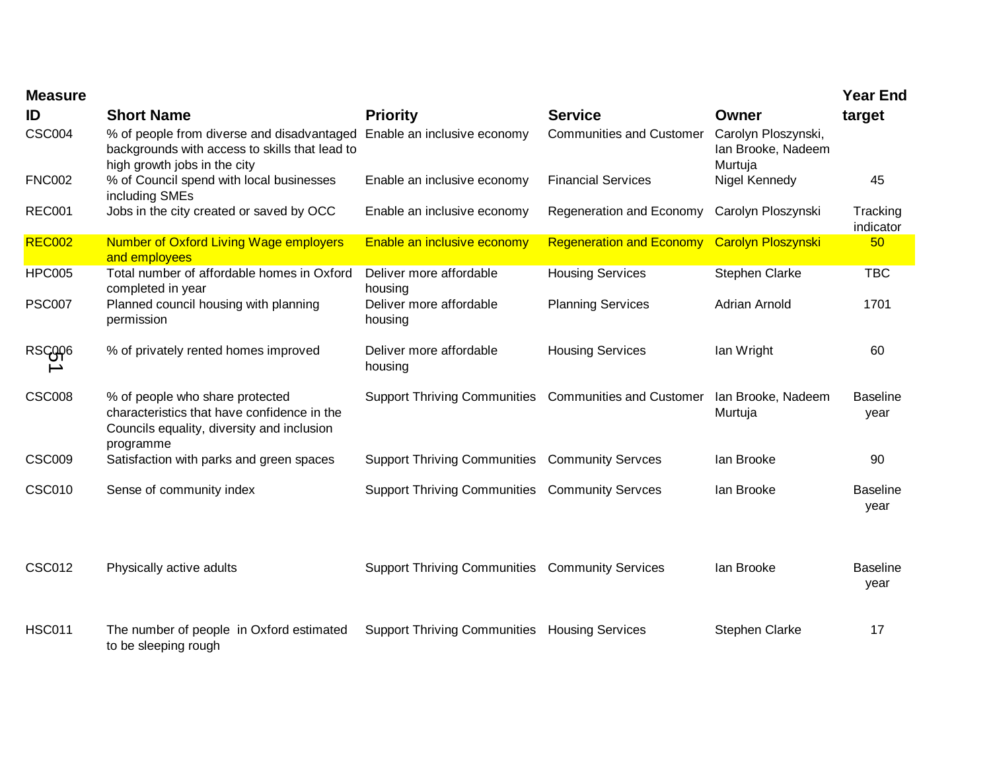| <b>Measure</b> |                                                                                                                                           |                                                        |                                 |                                                      | <b>Year End</b>         |
|----------------|-------------------------------------------------------------------------------------------------------------------------------------------|--------------------------------------------------------|---------------------------------|------------------------------------------------------|-------------------------|
| ID             | <b>Short Name</b>                                                                                                                         | <b>Priority</b>                                        | <b>Service</b>                  | Owner                                                | target                  |
| <b>CSC004</b>  | % of people from diverse and disadvantaged<br>backgrounds with access to skills that lead to<br>high growth jobs in the city              | Enable an inclusive economy                            | <b>Communities and Customer</b> | Carolyn Ploszynski,<br>Ian Brooke, Nadeem<br>Murtuja |                         |
| <b>FNC002</b>  | % of Council spend with local businesses<br>including SMEs                                                                                | Enable an inclusive economy                            | <b>Financial Services</b>       | Nigel Kennedy                                        | 45                      |
| <b>REC001</b>  | Jobs in the city created or saved by OCC                                                                                                  | Enable an inclusive economy                            | Regeneration and Economy        | Carolyn Ploszynski                                   | Tracking<br>indicator   |
| <b>REC002</b>  | <b>Number of Oxford Living Wage employers</b><br>and employees                                                                            | Enable an inclusive economy                            | <b>Regeneration and Economy</b> | <b>Carolyn Ploszynski</b>                            | 50                      |
| <b>HPC005</b>  | Total number of affordable homes in Oxford<br>completed in year                                                                           | Deliver more affordable<br>housing                     | <b>Housing Services</b>         | Stephen Clarke                                       | <b>TBC</b>              |
| <b>PSC007</b>  | Planned council housing with planning<br>permission                                                                                       | Deliver more affordable<br>housing                     | <b>Planning Services</b>        | <b>Adrian Arnold</b>                                 | 1701                    |
| RSCOOP6        | % of privately rented homes improved                                                                                                      | Deliver more affordable<br>housing                     | <b>Housing Services</b>         | lan Wright                                           | 60                      |
| <b>CSC008</b>  | % of people who share protected<br>characteristics that have confidence in the<br>Councils equality, diversity and inclusion<br>programme | Support Thriving Communities Communities and Customer  |                                 | Ian Brooke, Nadeem<br>Murtuja                        | <b>Baseline</b><br>year |
| <b>CSC009</b>  | Satisfaction with parks and green spaces                                                                                                  | <b>Support Thriving Communities Community Servces</b>  |                                 | lan Brooke                                           | 90                      |
| <b>CSC010</b>  | Sense of community index                                                                                                                  | <b>Support Thriving Communities Community Servces</b>  |                                 | lan Brooke                                           | <b>Baseline</b><br>year |
| <b>CSC012</b>  | Physically active adults                                                                                                                  | <b>Support Thriving Communities Community Services</b> |                                 | lan Brooke                                           | <b>Baseline</b><br>year |
| <b>HSC011</b>  | The number of people in Oxford estimated<br>to be sleeping rough                                                                          | <b>Support Thriving Communities Housing Services</b>   |                                 | <b>Stephen Clarke</b>                                | 17                      |